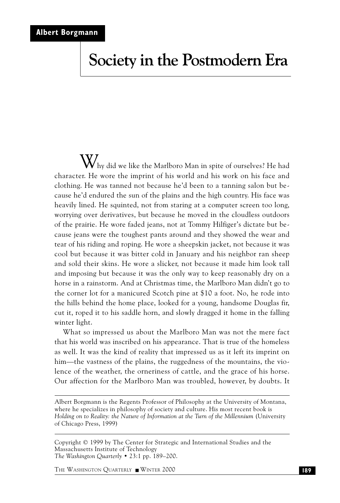## **Society in the Postmodern Era**

W<sub>hy</sub> did we like the Marlboro Man in spite of ourselves? He had character. He wore the imprint of his world and his work on his face and clothing. He was tanned not because he'd been to a tanning salon but because he'd endured the sun of the plains and the high country. His face was heavily lined. He squinted, not from staring at a computer screen too long, worrying over derivatives, but because he moved in the cloudless outdoors of the prairie. He wore faded jeans, not at Tommy Hilfiger's dictate but because jeans were the toughest pants around and they showed the wear and tear of his riding and roping. He wore a sheepskin jacket, not because it was cool but because it was bitter cold in January and his neighbor ran sheep and sold their skins. He wore a slicker, not because it made him look tall and imposing but because it was the only way to keep reasonably dry on a horse in a rainstorm. And at Christmas time, the Marlboro Man didn't go to the corner lot for a manicured Scotch pine at \$10 a foot. No, he rode into the hills behind the home place, looked for a young, handsome Douglas fir, cut it, roped it to his saddle horn, and slowly dragged it home in the falling winter light.

What so impressed us about the Marlboro Man was not the mere fact that his world was inscribed on his appearance. That is true of the homeless as well. It was the kind of reality that impressed us as it left its imprint on him—the vastness of the plains, the ruggedness of the mountains, the violence of the weather, the orneriness of cattle, and the grace of his horse. Our affection for the Marlboro Man was troubled, however, by doubts. It

Albert Borgmann is the Regents Professor of Philosophy at the University of Montana, where he specializes in philosophy of society and culture. His most recent book is *Holding on to Reality: the Nature of Information at the Turn of the Millennium* (University of Chicago Press, 1999)

Copyright © 1999 by The Center for Strategic and International Studies and the Massachusetts Institute of Technology *The Washington Quarterly* • 23:1 pp. 189–200.

THE WASHINGTON QUARTERLY ■ WINTER 2000 **189**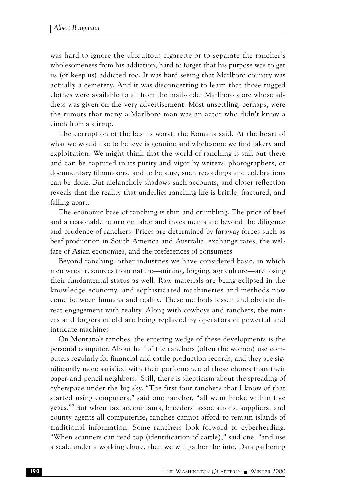was hard to ignore the ubiquitous cigarette or to separate the rancher's wholesomeness from his addiction, hard to forget that his purpose was to get us (or keep us) addicted too. It was hard seeing that Marlboro country was actually a cemetery. And it was disconcerting to learn that those rugged clothes were available to all from the mail-order Marlboro store whose address was given on the very advertisement. Most unsettling, perhaps, were the rumors that many a Marlboro man was an actor who didn't know a cinch from a stirrup.

The corruption of the best is worst, the Romans said. At the heart of what we would like to believe is genuine and wholesome we find fakery and exploitation. We might think that the world of ranching is still out there and can be captured in its purity and vigor by writers, photographers, or documentary filmmakers, and to be sure, such recordings and celebrations can be done. But melancholy shadows such accounts, and closer reflection reveals that the reality that underlies ranching life is brittle, fractured, and falling apart.

The economic base of ranching is thin and crumbling. The price of beef and a reasonable return on labor and investments are beyond the diligence and prudence of ranchers. Prices are determined by faraway forces such as beef production in South America and Australia, exchange rates, the welfare of Asian economies, and the preferences of consumers.

Beyond ranching, other industries we have considered basic, in which men wrest resources from nature—mining, logging, agriculture—are losing their fundamental status as well. Raw materials are being eclipsed in the knowledge economy, and sophisticated machineries and methods now come between humans and reality. These methods lessen and obviate direct engagement with reality. Along with cowboys and ranchers, the miners and loggers of old are being replaced by operators of powerful and intricate machines.

On Montana's ranches, the entering wedge of these developments is the personal computer. About half of the ranchers (often the women) use computers regularly for financial and cattle production records, and they are significantly more satisfied with their performance of these chores than their paper-and-pencil neighbors.<sup>1</sup> Still, there is skepticism about the spreading of cyberspace under the big sky. "The first four ranchers that I know of that started using computers," said one rancher, "all went broke within five years."2 But when tax accountants, breeders' associations, suppliers, and county agents all computerize, ranches cannot afford to remain islands of traditional information. Some ranchers look forward to cyberherding. "When scanners can read top (identification of cattle)," said one, "and use a scale under a working chute, then we will gather the info. Data gathering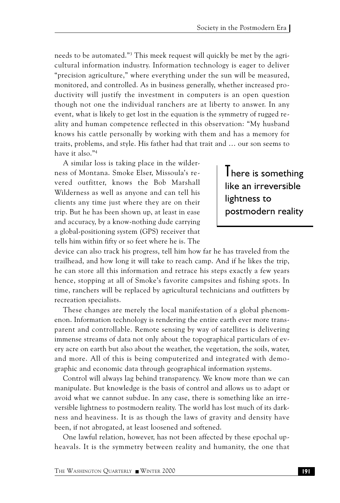needs to be automated."3 This meek request will quickly be met by the agricultural information industry. Information technology is eager to deliver "precision agriculture," where everything under the sun will be measured, monitored, and controlled. As in business generally, whether increased productivity will justify the investment in computers is an open question though not one the individual ranchers are at liberty to answer. In any event, what is likely to get lost in the equation is the symmetry of rugged reality and human competence reflected in this observation: "My husband knows his cattle personally by working with them and has a memory for traits, problems, and style. His father had that trait and … our son seems to have it also."4

A similar loss is taking place in the wilderness of Montana. Smoke Elser, Missoula's revered outfitter, knows the Bob Marshall Wilderness as well as anyone and can tell his clients any time just where they are on their trip. But he has been shown up, at least in ease and accuracy, by a know-nothing dude carrying a global-positioning system (GPS) receiver that tells him within fifty or so feet where he is. The

I here is something like an irreversible lightness to postmodern reality

device can also track his progress, tell him how far he has traveled from the trailhead, and how long it will take to reach camp. And if he likes the trip, he can store all this information and retrace his steps exactly a few years hence, stopping at all of Smoke's favorite campsites and fishing spots. In time, ranchers will be replaced by agricultural technicians and outfitters by recreation specialists.

These changes are merely the local manifestation of a global phenomenon. Information technology is rendering the entire earth ever more transparent and controllable. Remote sensing by way of satellites is delivering immense streams of data not only about the topographical particulars of every acre on earth but also about the weather, the vegetation, the soils, water, and more. All of this is being computerized and integrated with demographic and economic data through geographical information systems.

Control will always lag behind transparency. We know more than we can manipulate. But knowledge is the basis of control and allows us to adapt or avoid what we cannot subdue. In any case, there is something like an irreversible lightness to postmodern reality. The world has lost much of its darkness and heaviness. It is as though the laws of gravity and density have been, if not abrogated, at least loosened and softened.

One lawful relation, however, has not been affected by these epochal upheavals. It is the symmetry between reality and humanity, the one that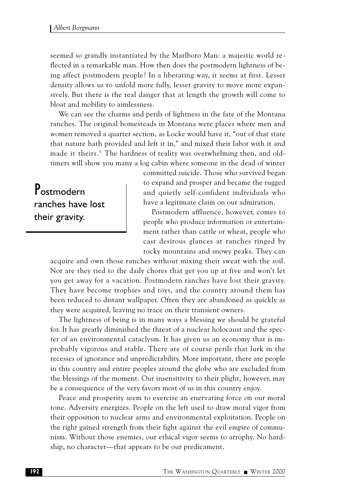seemed so grandly instantiated by the Marlboro Man: a majestic world reflected in a remarkable man. How then does the postmodern lightness of being affect postmodern people? In a liberating way, it seems at first. Lesser density allows us to unfold more fully, lesser gravity to move more expansively. But there is the real danger that at length the growth will come to bloat and mobility to aimlessness.

We can see the charms and perils of lightness in the fate of the Montana ranches. The original homesteads in Montana were places where men and women removed a quarter section, as Locke would have it, "out of that state that nature hath provided and left it in," and mixed their labor with it and made it theirs.<sup>5</sup> The hardness of reality was overwhelming then, and oldtimers will show you many a log cabin where someone in the dead of winter

Postmodern ranches have lost their gravity.

committed suicide. Those who survived began to expand and prosper and became the rugged and quietly self-confident individuals who have a legitimate claim on our admiration.

Postmodern affluence, however, comes to people who produce information or entertainment rather than cattle or wheat, people who cast desirous glances at ranches ringed by rocky mountains and snowy peaks. They can

acquire and own those ranches without mixing their sweat with the soil. Nor are they tied to the daily chores that get you up at five and won't let you get away for a vacation. Postmodern ranches have lost their gravity. They have become trophies and toys, and the country around them has been reduced to distant wallpaper. Often they are abandoned as quickly as they were acquired, leaving no trace on their transient owners.

The lightness of being is in many ways a blessing we should be grateful for. It has greatly diminished the threat of a nuclear holocaust and the specter of an environmental cataclysm. It has given us an economy that is improbably vigorous and stable. There are of course perils that lurk in the recesses of ignorance and unpredictability. More important, there are people in this country and entire peoples around the globe who are excluded from the blessings of the moment. Our insensitivity to their plight, however, may be a consequence of the very favors most of us in this country enjoy.

Peace and prosperity seem to exercise an enervating force on our moral tone. Adversity energizes. People on the left used to draw moral vigor from their opposition to nuclear arms and environmental exploitation. People on the right gained strength from their fight against the evil empire of communism. Without those enemies, our ethical vigor seems to atrophy. No hardship, no character—that appears to be our predicament.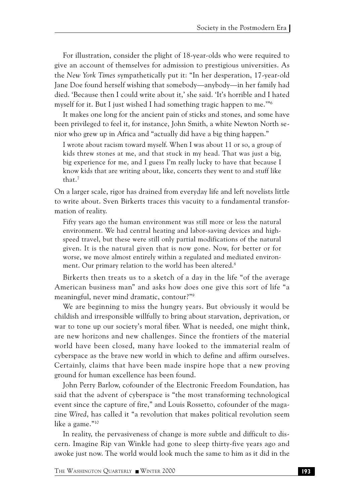For illustration, consider the plight of 18-year-olds who were required to give an account of themselves for admission to prestigious universities. As the *New York Times* sympathetically put it: "In her desperation, 17-year-old Jane Doe found herself wishing that somebody—anybody—in her family had died. 'Because then I could write about it,' she said. 'It's horrible and I hated myself for it. But I just wished I had something tragic happen to me.'"6

It makes one long for the ancient pain of sticks and stones, and some have been privileged to feel it, for instance, John Smith, a white Newton North senior who grew up in Africa and "actually did have a big thing happen."

I wrote about racism toward myself. When I was about 11 or so, a group of kids threw stones at me, and that stuck in my head. That was just a big, big experience for me, and I guess I'm really lucky to have that because I know kids that are writing about, like, concerts they went to and stuff like that.7

On a larger scale, rigor has drained from everyday life and left novelists little to write about. Sven Birkerts traces this vacuity to a fundamental transformation of reality.

Fifty years ago the human environment was still more or less the natural environment. We had central heating and labor-saving devices and highspeed travel, but these were still only partial modifications of the natural given. It is the natural given that is now gone. Now, for better or for worse, we move almost entirely within a regulated and mediated environment. Our primary relation to the world has been altered.<sup>8</sup>

Birkerts then treats us to a sketch of a day in the life "of the average American business man" and asks how does one give this sort of life "a meaningful, never mind dramatic, contour?"9

We are beginning to miss the hungry years. But obviously it would be childish and irresponsible willfully to bring about starvation, deprivation, or war to tone up our society's moral fiber. What is needed, one might think, are new horizons and new challenges. Since the frontiers of the material world have been closed, many have looked to the immaterial realm of cyberspace as the brave new world in which to define and affirm ourselves. Certainly, claims that have been made inspire hope that a new proving ground for human excellence has been found.

John Perry Barlow, cofounder of the Electronic Freedom Foundation, has said that the advent of cyberspace is "the most transforming technological event since the capture of fire," and Louis Rossetto, cofounder of the magazine *Wired*, has called it "a revolution that makes political revolution seem like a game."10

In reality, the pervasiveness of change is more subtle and difficult to discern. Imagine Rip van Winkle had gone to sleep thirty-five years ago and awoke just now. The world would look much the same to him as it did in the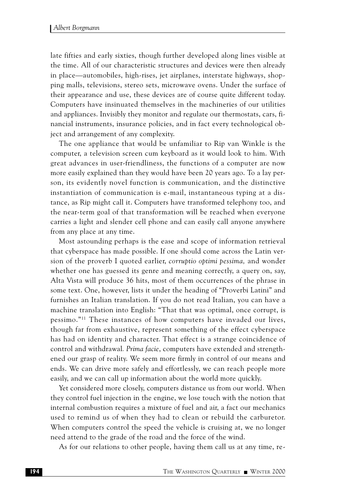late fifties and early sixties, though further developed along lines visible at the time. All of our characteristic structures and devices were then already in place—automobiles, high-rises, jet airplanes, interstate highways, shopping malls, televisions, stereo sets, microwave ovens. Under the surface of their appearance and use, these devices are of course quite different today. Computers have insinuated themselves in the machineries of our utilities and appliances. Invisibly they monitor and regulate our thermostats, cars, financial instruments, insurance policies, and in fact every technological object and arrangement of any complexity.

The one appliance that would be unfamiliar to Rip van Winkle is the computer, a television screen cum keyboard as it would look to him. With great advances in user-friendliness, the functions of a computer are now more easily explained than they would have been 20 years ago. To a lay person, its evidently novel function is communication, and the distinctive instantiation of communication is e-mail, instantaneous typing at a distance, as Rip might call it. Computers have transformed telephony too, and the near-term goal of that transformation will be reached when everyone carries a light and slender cell phone and can easily call anyone anywhere from any place at any time.

Most astounding perhaps is the ease and scope of information retrieval that cyberspace has made possible. If one should come across the Latin version of the proverb I quoted earlier, *corruptio optimi pessima,* and wonder whether one has guessed its genre and meaning correctly, a query on, say, Alta Vista will produce 36 hits, most of them occurrences of the phrase in some text. One, however, lists it under the heading of "Proverbi Latini" and furnishes an Italian translation. If you do not read Italian, you can have a machine translation into English: "That that was optimal, once corrupt, is pessimo."11 These instances of how computers have invaded our lives, though far from exhaustive, represent something of the effect cyberspace has had on identity and character. That effect is a strange coincidence of control and withdrawal*. Prima facie*, computers have extended and strengthened our grasp of reality. We seem more firmly in control of our means and ends. We can drive more safely and effortlessly, we can reach people more easily, and we can call up information about the world more quickly.

Yet considered more closely, computers distance us from our world. When they control fuel injection in the engine, we lose touch with the notion that internal combustion requires a mixture of fuel and air, a fact our mechanics used to remind us of when they had to clean or rebuild the carburetor. When computers control the speed the vehicle is cruising at, we no longer need attend to the grade of the road and the force of the wind.

As for our relations to other people, having them call us at any time, re-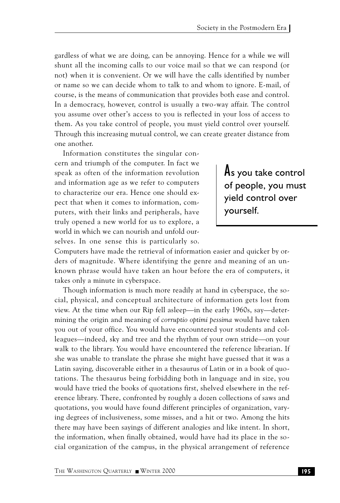gardless of what we are doing, can be annoying. Hence for a while we will shunt all the incoming calls to our voice mail so that we can respond (or not) when it is convenient. Or we will have the calls identified by number or name so we can decide whom to talk to and whom to ignore. E-mail, of course, is the means of communication that provides both ease and control. In a democracy, however, control is usually a two-way affair. The control you assume over other's access to you is reflected in your loss of access to them. As you take control of people, you must yield control over yourself. Through this increasing mutual control, we can create greater distance from one another.

Information constitutes the singular concern and triumph of the computer. In fact we speak as often of the information revolution and information age as we refer to computers to characterize our era. Hence one should expect that when it comes to information, computers, with their links and peripherals, have truly opened a new world for us to explore, a world in which we can nourish and unfold ourselves. In one sense this is particularly so.

As you take control of people, you must yield control over yourself.

Computers have made the retrieval of information easier and quicker by orders of magnitude. Where identifying the genre and meaning of an unknown phrase would have taken an hour before the era of computers, it takes only a minute in cyberspace.

Though information is much more readily at hand in cyberspace, the social, physical, and conceptual architecture of information gets lost from view. At the time when our Rip fell asleep—in the early 1960s, say—determining the origin and meaning of *corruptio optimi pessima* would have taken you out of your office. You would have encountered your students and colleagues—indeed, sky and tree and the rhythm of your own stride—on your walk to the library. You would have encountered the reference librarian. If she was unable to translate the phrase she might have guessed that it was a Latin saying, discoverable either in a thesaurus of Latin or in a book of quotations. The thesaurus being forbidding both in language and in size, you would have tried the books of quotations first, shelved elsewhere in the reference library. There, confronted by roughly a dozen collections of saws and quotations, you would have found different principles of organization, varying degrees of inclusiveness, some misses, and a hit or two. Among the hits there may have been sayings of different analogies and like intent. In short, the information, when finally obtained, would have had its place in the social organization of the campus, in the physical arrangement of reference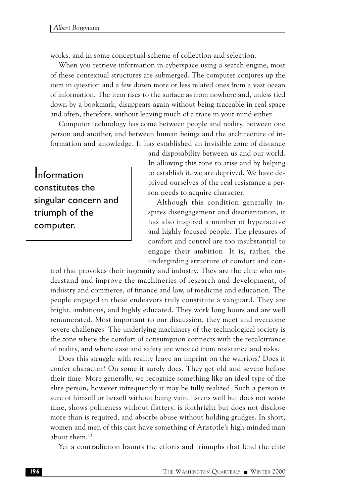works, and in some conceptual scheme of collection and selection.

When you retrieve information in cyberspace using a search engine, most of these contextual structures are submerged. The computer conjures up the item in question and a few dozen more or less related ones from a vast ocean of information. The item rises to the surface as from nowhere and, unless tied down by a bookmark, disappears again without being traceable in real space and often, therefore, without leaving much of a trace in your mind either.

Computer technology has come between people and reality, between one person and another, and between human beings and the architecture of information and knowledge. It has established an invisible zone of distance

Information constitutes the singular concern and triumph of the computer.

and disposability between us and our world. In allowing this zone to arise and by helping to establish it, we are deprived. We have deprived ourselves of the real resistance a person needs to acquire character.

Although this condition generally inspires disengagement and disorientation, it has also inspired a number of hyperactive and highly focused people. The pleasures of comfort and control are too insubstantial to engage their ambition. It is, rather, the undergirding structure of comfort and con-

trol that provokes their ingenuity and industry. They are the elite who understand and improve the machineries of research and development, of industry and commerce, of finance and law, of medicine and education. The people engaged in these endeavors truly constitute a vanguard. They are bright, ambitious, and highly educated. They work long hours and are well remunerated. Most important to our discussion, they meet and overcome severe challenges. The underlying machinery of the technological society is the zone where the comfort of consumption connects with the recalcitrance of reality, and where ease and safety are wrested from resistance and risks.

Does this struggle with reality leave an imprint on the warriors? Does it confer character? On some it surely does. They get old and severe before their time. More generally, we recognize something like an ideal type of the elite person, however infrequently it may be fully realized. Such a person is sure of himself or herself without being vain, listens well but does not waste time, shows politeness without flattery, is forthright but does not disclose more than is required, and absorbs abuse without holding grudges. In short, women and men of this cast have something of Aristotle's high-minded man about them.12

Yet a contradiction haunts the efforts and triumphs that lend the elite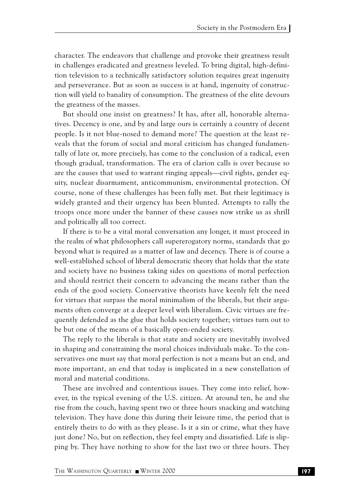character. The endeavors that challenge and provoke their greatness result in challenges eradicated and greatness leveled. To bring digital, high-definition television to a technically satisfactory solution requires great ingenuity and perseverance. But as soon as success is at hand, ingenuity of construction will yield to banality of consumption. The greatness of the elite devours the greatness of the masses.

But should one insist on greatness? It has, after all, honorable alternatives. Decency is one, and by and large ours is certainly a country of decent people. Is it not blue-nosed to demand more? The question at the least reveals that the forum of social and moral criticism has changed fundamentally of late or, more precisely, has come to the conclusion of a radical, even though gradual, transformation. The era of clarion calls is over because so are the causes that used to warrant ringing appeals—civil rights, gender equity, nuclear disarmament, anticommunism, environmental protection. Of course, none of these challenges has been fully met. But their legitimacy is widely granted and their urgency has been blunted. Attempts to rally the troops once more under the banner of these causes now strike us as shrill and politically all too correct.

If there is to be a vital moral conversation any longer, it must proceed in the realm of what philosophers call supererogatory norms, standards that go beyond what is required as a matter of law and decency. There is of course a well-established school of liberal democratic theory that holds that the state and society have no business taking sides on questions of moral perfection and should restrict their concern to advancing the means rather than the ends of the good society. Conservative theorists have keenly felt the need for virtues that surpass the moral minimalism of the liberals, but their arguments often converge at a deeper level with liberalism. Civic virtues are frequently defended as the glue that holds society together; virtues turn out to be but one of the means of a basically open-ended society.

The reply to the liberals is that state and society are inevitably involved in shaping and constraining the moral choices individuals make. To the conservatives one must say that moral perfection is not a means but an end, and more important, an end that today is implicated in a new constellation of moral and material conditions.

These are involved and contentious issues. They come into relief, however, in the typical evening of the U.S. citizen. At around ten, he and she rise from the couch, having spent two or three hours snacking and watching television. They have done this during their leisure time, the period that is entirely theirs to do with as they please. Is it a sin or crime, what they have just done? No, but on reflection, they feel empty and dissatisfied. Life is slipping by. They have nothing to show for the last two or three hours. They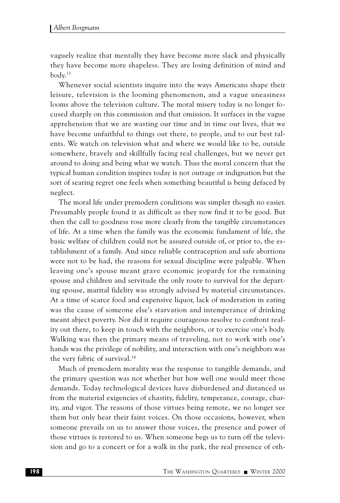vaguely realize that mentally they have become more slack and physically they have become more shapeless. They are losing definition of mind and body.13

Whenever social scientists inquire into the ways Americans shape their leisure, television is the looming phenomenon, and a vague uneasiness looms above the television culture. The moral misery today is no longer focused sharply on this commission and that omission. It surfaces in the vague apprehension that we are wasting our time and in time our lives, that we have become unfaithful to things out there, to people, and to our best talents. We watch on television what and where we would like to be, outside somewhere, bravely and skillfully facing real challenges, but we never get around to doing and being what we watch. Thus the moral concern that the typical human condition inspires today is not outrage or indignation but the sort of searing regret one feels when something beautiful is being defaced by neglect.

The moral life under premodern conditions was simpler though no easier. Presumably people found it as difficult as they now find it to be good. But then the call to goodness rose more clearly from the tangible circumstances of life. At a time when the family was the economic fundament of life, the basic welfare of children could not be assured outside of, or prior to, the establishment of a family. And since reliable contraception and safe abortions were not to be had, the reasons for sexual discipline were palpable. When leaving one's spouse meant grave economic jeopardy for the remaining spouse and children and servitude the only route to survival for the departing spouse, marital fidelity was strongly advised by material circumstances. At a time of scarce food and expensive liquor, lack of moderation in eating was the cause of someone else's starvation and intemperance of drinking meant abject poverty. Nor did it require courageous resolve to confront reality out there, to keep in touch with the neighbors, or to exercise one's body. Walking was then the primary means of traveling, not to work with one's hands was the privilege of nobility, and interaction with one's neighbors was the very fabric of survival.<sup>14</sup>

Much of premodern morality was the response to tangible demands, and the primary question was not whether but how well one would meet those demands. Today technological devices have disburdened and distanced us from the material exigencies of chastity, fidelity, temperance, courage, charity, and vigor. The reasons of those virtues being remote, we no longer see them but only hear their faint voices. On those occasions, however, when someone prevails on us to answer those voices, the presence and power of those virtues is restored to us. When someone begs us to turn off the television and go to a concert or for a walk in the park, the real presence of oth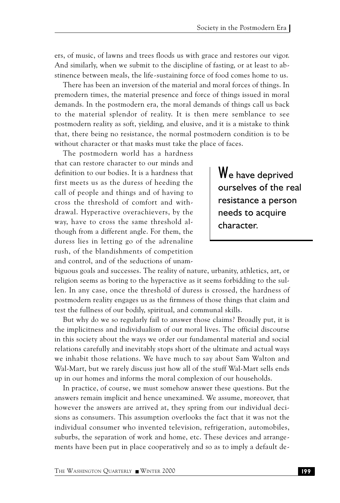ers, of music, of lawns and trees floods us with grace and restores our vigor. And similarly, when we submit to the discipline of fasting, or at least to abstinence between meals, the life-sustaining force of food comes home to us.

There has been an inversion of the material and moral forces of things. In premodern times, the material presence and force of things issued in moral demands. In the postmodern era, the moral demands of things call us back to the material splendor of reality. It is then mere semblance to see postmodern reality as soft, yielding, and elusive, and it is a mistake to think that, there being no resistance, the normal postmodern condition is to be without character or that masks must take the place of faces.

The postmodern world has a hardness that can restore character to our minds and definition to our bodies. It is a hardness that first meets us as the duress of heeding the call of people and things and of having to cross the threshold of comfort and withdrawal. Hyperactive overachievers, by the way, have to cross the same threshold although from a different angle. For them, the duress lies in letting go of the adrenaline rush, of the blandishments of competition and control, and of the seductions of unam-

We have deprived ourselves of the real resistance a person needs to acquire character.

biguous goals and successes. The reality of nature, urbanity, athletics, art, or religion seems as boring to the hyperactive as it seems forbidding to the sullen. In any case, once the threshold of duress is crossed, the hardness of postmodern reality engages us as the firmness of those things that claim and test the fullness of our bodily, spiritual, and communal skills.

But why do we so regularly fail to answer those claims? Broadly put, it is the implicitness and individualism of our moral lives. The official discourse in this society about the ways we order our fundamental material and social relations carefully and inevitably stops short of the ultimate and actual ways we inhabit those relations. We have much to say about Sam Walton and Wal-Mart, but we rarely discuss just how all of the stuff Wal-Mart sells ends up in our homes and informs the moral complexion of our households.

In practice, of course, we must somehow answer these questions. But the answers remain implicit and hence unexamined. We assume, moreover, that however the answers are arrived at, they spring from our individual decisions as consumers. This assumption overlooks the fact that it was not the individual consumer who invented television, refrigeration, automobiles, suburbs, the separation of work and home, etc. These devices and arrangements have been put in place cooperatively and so as to imply a default de